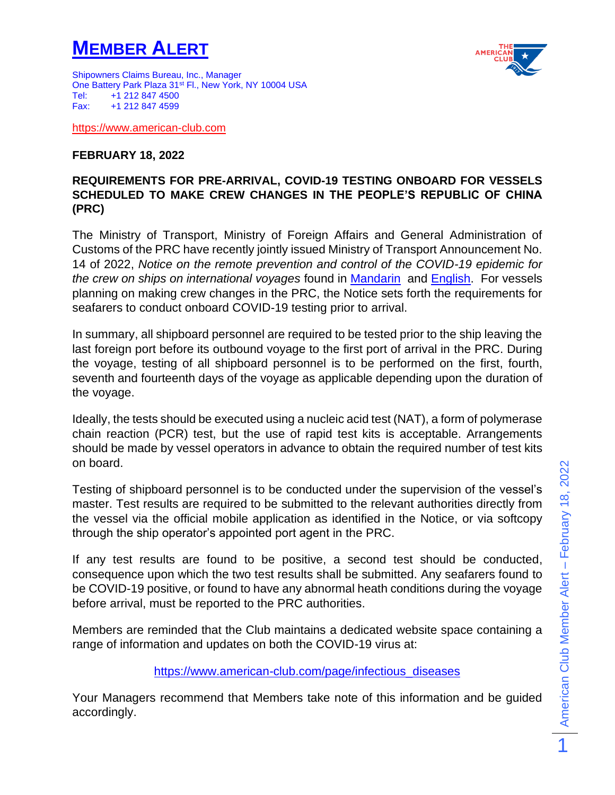## **MEMBER ALERT**



Shipowners Claims Bureau, Inc., Manager One Battery Park Plaza 31<sup>st</sup> Fl., New York, NY 10004 USA Tel: +1 212 847 4500 Fax: +1 212 847 4599

[https://www.american-club.com](https://www.american-club.com/)

## **FEBRUARY 18, 2022**

## **REQUIREMENTS FOR PRE-ARRIVAL, COVID-19 TESTING ONBOARD FOR VESSELS SCHEDULED TO MAKE CREW CHANGES IN THE PEOPLE'S REPUBLIC OF CHINA (PRC)**

The Ministry of Transport, Ministry of Foreign Affairs and General Administration of Customs of the PRC have recently jointly issued Ministry of Transport Announcement No. 14 of 2022, *Notice on the remote prevention and control of the COVID-19 epidemic for the crew on ships on international voyages* found in [Mandarin](https://www.american-club.com/files/files/China_MOT_onboard_COVID_testing_feb2022_Mandarin.pdf) and [English.](https://www.american-club.com/files/files/China_MOT_onboard_COVID_testing_feb2022_EN.pdf) For vessels planning on making crew changes in the PRC, the Notice sets forth the requirements for seafarers to conduct onboard COVID-19 testing prior to arrival.

In summary, all shipboard personnel are required to be tested prior to the ship leaving the last foreign port before its outbound voyage to the first port of arrival in the PRC. During the voyage, testing of all shipboard personnel is to be performed on the first, fourth, seventh and fourteenth days of the voyage as applicable depending upon the duration of the voyage.

Ideally, the tests should be executed using a nucleic acid test (NAT), a form of polymerase chain reaction (PCR) test, but the use of rapid test kits is acceptable. Arrangements should be made by vessel operators in advance to obtain the required number of test kits on board.

Testing of shipboard personnel is to be conducted under the supervision of the vessel's master. Test results are required to be submitted to the relevant authorities directly from the vessel via the official mobile application as identified in the Notice, or via softcopy through the ship operator's appointed port agent in the PRC.

If any test results are found to be positive, a second test should be conducted, consequence upon which the two test results shall be submitted. Any seafarers found to be COVID-19 positive, or found to have any abnormal heath conditions during the voyage before arrival, must be reported to the PRC authorities.

Members are reminded that the Club maintains a dedicated website space containing a range of information and updates on both the COVID-19 virus at:

[https://www.american-club.com/page/infectious\\_diseases](https://www.american-club.com/page/infectious_diseases)

Your Managers recommend that Members take note of this information and be guided accordingly.